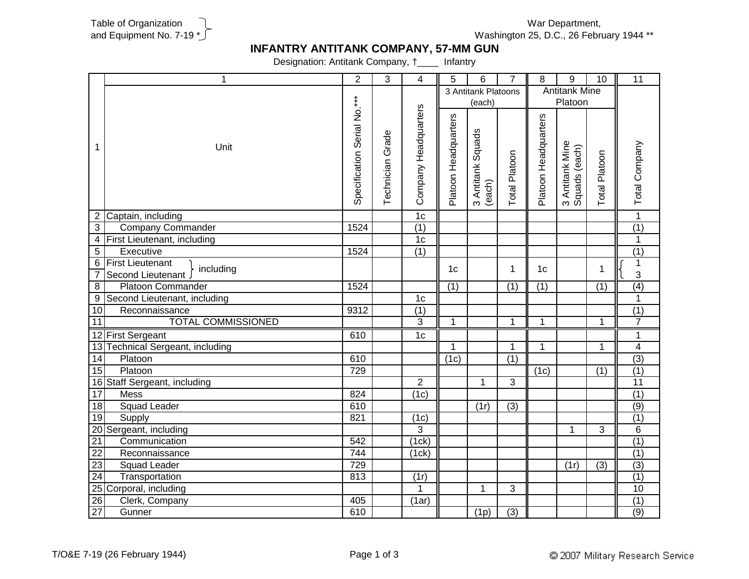

Washington 25, D.C., 26 February 1944 \*\* War Department,

## **INFANTRY ANTITANK COMPANY, 57-MM GUN**

Designation: Antitank Company, †\_\_\_\_ Infantry

|                 | 1                                | $\overline{2}$              | 3                | 4                    | 5                    | 6                           | $\overline{7}$   | 8                    | 9                                | 10             | 11               |
|-----------------|----------------------------------|-----------------------------|------------------|----------------------|----------------------|-----------------------------|------------------|----------------------|----------------------------------|----------------|------------------|
|                 |                                  |                             |                  |                      | 3 Antitank Platoons  |                             |                  | <b>Antitank Mine</b> |                                  |                |                  |
|                 |                                  |                             |                  |                      | (each)               |                             |                  | Platoon              |                                  |                |                  |
| 1               | Unit                             | Specification Serial No.*** | Technician Grade | Company Headquarters | Platoon Headquarters | 3 Antitank Squads<br>(each) | Total Platoon    | Platoon Headquarters | 3 Antitank Mine<br>Squads (each) | Total Platoon  | Total Company    |
|                 | 2 Captain, including             |                             |                  | 1 <sub>c</sub>       |                      |                             |                  |                      |                                  |                | $\overline{1}$   |
| $\overline{3}$  | <b>Company Commander</b>         | 1524                        |                  | (1)                  |                      |                             |                  |                      |                                  |                | $\overline{(1)}$ |
|                 | 4 First Lieutenant, including    |                             |                  | 1 <sub>c</sub>       |                      |                             |                  |                      |                                  |                | $\mathbf{1}$     |
| $\overline{5}$  | Executive                        | 1524                        |                  | $\overline{(1)}$     |                      |                             |                  |                      |                                  |                | $\overline{(1)}$ |
|                 | 6 First Lieutenant<br>including  |                             |                  |                      | 1 <sub>c</sub>       |                             | 1                | 1 <sub>c</sub>       |                                  | 1              | $\mathbf 1$      |
| 7               | Second Lieutenant                |                             |                  |                      |                      |                             |                  |                      |                                  |                | 3                |
| $\overline{8}$  | <b>Platoon Commander</b>         | 1524                        |                  |                      | $\overline{(1)}$     |                             | (1)              | (1)                  |                                  | (1)            | (4)              |
| $\overline{9}$  | Second Lieutenant, including     |                             |                  | 1 <sub>c</sub>       |                      |                             |                  |                      |                                  |                | $\mathbf{1}$     |
| 10              | Reconnaissance                   | 9312                        |                  | $\overline{(1)}$     |                      |                             |                  |                      |                                  |                | (1)              |
| 11              | <b>TOTAL COMMISSIONED</b>        |                             |                  | 3                    | $\mathbf{1}$         |                             | $\mathbf{1}$     | 1                    |                                  | 1              | $\overline{7}$   |
|                 | 12 First Sergeant                | 610                         |                  | 1 <sub>c</sub>       |                      |                             |                  |                      |                                  |                | 1                |
|                 | 13 Technical Sergeant, including |                             |                  |                      | 1                    |                             | $\mathbf{1}$     | $\mathbf{1}$         |                                  | 1              | $\overline{4}$   |
| 14              | Platoon                          | 610                         |                  |                      | (1c)                 |                             | (1)              |                      |                                  |                | $\overline{(3)}$ |
| 15              | Platoon                          | 729                         |                  |                      |                      |                             |                  | (1c)                 |                                  | (1)            | (1)              |
|                 | 16 Staff Sergeant, including     |                             |                  | $\overline{2}$       |                      | $\mathbf{1}$                | $\overline{3}$   |                      |                                  |                | 11               |
| $\overline{17}$ | Mess                             | 824                         |                  | (1c)                 |                      |                             |                  |                      |                                  |                | (1)              |
| 18              | Squad Leader                     | 610                         |                  |                      |                      | (1r)                        | (3)              |                      |                                  |                | (9)              |
| 19              | Supply                           | 821                         |                  | (1c)                 |                      |                             |                  |                      |                                  |                | (1)              |
|                 | 20 Sergeant, including           |                             |                  | 3                    |                      |                             |                  |                      | $\mathbf{1}$                     | 3              | 6                |
| $\overline{21}$ | Communication                    | 542                         |                  | (1ck)                |                      |                             |                  |                      |                                  |                | (1)              |
| $\overline{22}$ | Reconnaissance                   | 744                         |                  | (1ck)                |                      |                             |                  |                      |                                  |                | (1)              |
| $\overline{23}$ | Squad Leader                     | $\overline{729}$            |                  |                      |                      |                             |                  |                      | (1r)                             | $\overline{3}$ | $\overline{(3)}$ |
| $\overline{24}$ | Transportation                   | 813                         |                  | (1r)                 |                      |                             |                  |                      |                                  |                | $\overline{(1)}$ |
|                 | 25 Corporal, including           |                             |                  | $\mathbf 1$          |                      | 1                           | 3                |                      |                                  |                | 10               |
| $\overline{26}$ | Clerk, Company                   | 405                         |                  | (1ar)                |                      |                             |                  |                      |                                  |                | (1)              |
| 27              | Gunner                           | 610                         |                  |                      |                      | (1p)                        | $\overline{(3)}$ |                      |                                  |                | (9)              |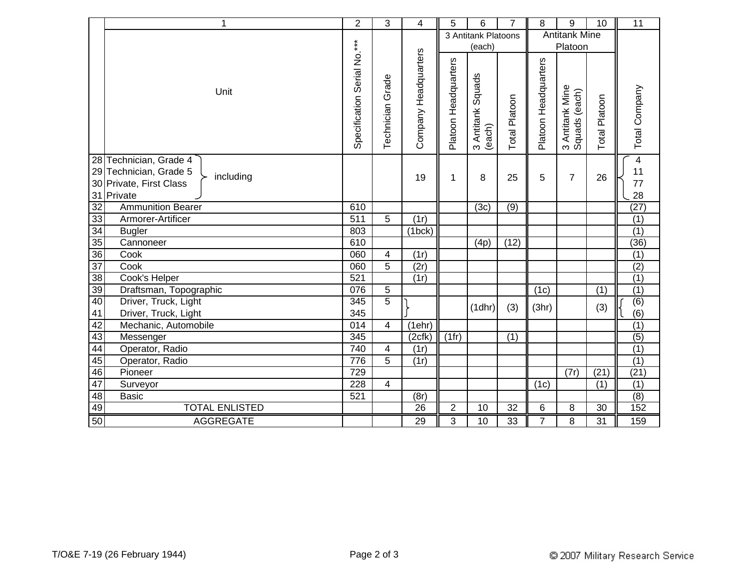|                 | 1                                   | $\overline{2}$              | 3                   | 4                    | 5                    | 6                                 | 7             | 8                    | 9                                | 10               | 11               |
|-----------------|-------------------------------------|-----------------------------|---------------------|----------------------|----------------------|-----------------------------------|---------------|----------------------|----------------------------------|------------------|------------------|
|                 |                                     | $***$                       |                     |                      | 3 Antitank Platoons  |                                   |               | <b>Antitank Mine</b> |                                  |                  |                  |
|                 |                                     |                             |                     |                      | (each)               |                                   |               |                      | Platoon                          |                  |                  |
|                 | Unit                                | Serial No.<br>Specification | Grade<br>Technician | Company Headquarters | Platoon Headquarters | Squads<br>3 Antitank \$<br>(each) | Total Platoon | Platoon Headquarters | 3 Antitank Mine<br>Squads (each) | Platoon<br>Total | Total Company    |
|                 | 28 Technician, Grade 4              |                             |                     |                      |                      |                                   |               |                      |                                  |                  | $\overline{4}$   |
|                 | 29 Technician, Grade 5<br>including |                             |                     | 19                   | 1                    | 8                                 | 25            | 5                    | $\overline{7}$                   | 26               | 11               |
| 30 <sup>°</sup> | Private, First Class                |                             |                     |                      |                      |                                   |               |                      |                                  |                  | 77               |
|                 | 31 Private                          |                             |                     |                      |                      |                                   |               |                      |                                  |                  | 28               |
| 32              | <b>Ammunition Bearer</b>            | 610                         |                     |                      |                      | (3c)                              | (9)           |                      |                                  |                  | (27)             |
| 33              | Armorer-Artificer                   | $\overline{511}$            | 5                   | (1r)                 |                      |                                   |               |                      |                                  |                  | $\overline{(1)}$ |
| $\overline{34}$ | <b>Bugler</b>                       | 803                         |                     | (1bc)                |                      |                                   |               |                      |                                  |                  | $\overline{(1)}$ |
| 35              | Cannoneer                           | 610                         |                     |                      |                      | (4p)                              | (12)          |                      |                                  |                  | (36)             |
| $\overline{36}$ | Cook                                | 060                         | 4                   | (1r)                 |                      |                                   |               |                      |                                  |                  | (1)              |
| $\overline{37}$ | Cook                                | 060                         | 5                   | (2r)                 |                      |                                   |               |                      |                                  |                  | (2)              |
| 38              | Cook's Helper                       | 521                         |                     | (1r)                 |                      |                                   |               |                      |                                  |                  | (1)              |
| 39              | Draftsman, Topographic              | 076                         | 5                   |                      |                      |                                   |               | (1c)                 |                                  | (1)              | (1)              |
| 40              | Driver, Truck, Light                | 345                         | 5                   |                      |                      | (1dh)                             | (3)           | (3hr)                |                                  | (3)              | $\overline{(6)}$ |
| 41              | Driver, Truck, Light                | 345                         |                     |                      |                      |                                   |               |                      |                                  |                  | (6)              |
| 42              | Mechanic, Automobile                | 014                         | 4                   | (1ehr)               |                      |                                   |               |                      |                                  |                  | (1)              |
| 43              | Messenger                           | 345                         |                     | (2cfk)               | (1fr)                |                                   | (1)           |                      |                                  |                  | $\overline{(5)}$ |
| 44              | Operator, Radio                     | 740                         | 4                   | (1r)                 |                      |                                   |               |                      |                                  |                  | (1)              |
| 45              | Operator, Radio                     | 776                         | $\overline{5}$      | (1r)                 |                      |                                   |               |                      |                                  |                  | (1)              |
| 46              | Pioneer                             | 729                         |                     |                      |                      |                                   |               |                      | (7r)                             | (21)             | (21)             |
| 47              | Surveyor                            | $\overline{228}$            | 4                   |                      |                      |                                   |               | (1c)                 |                                  | (1)              | (1)              |
| 48              | <b>Basic</b>                        | 521                         |                     | (8r)                 |                      |                                   |               |                      |                                  |                  | (8)              |
| 49              | <b>TOTAL ENLISTED</b>               |                             |                     | 26                   | $\boldsymbol{2}$     | 10                                | 32            | 6                    | 8                                | 30               | 152              |
| 50              | <b>AGGREGATE</b>                    |                             |                     | 29                   | 3                    | 10                                | 33            | $\overline{7}$       | 8                                | 31               | 159              |